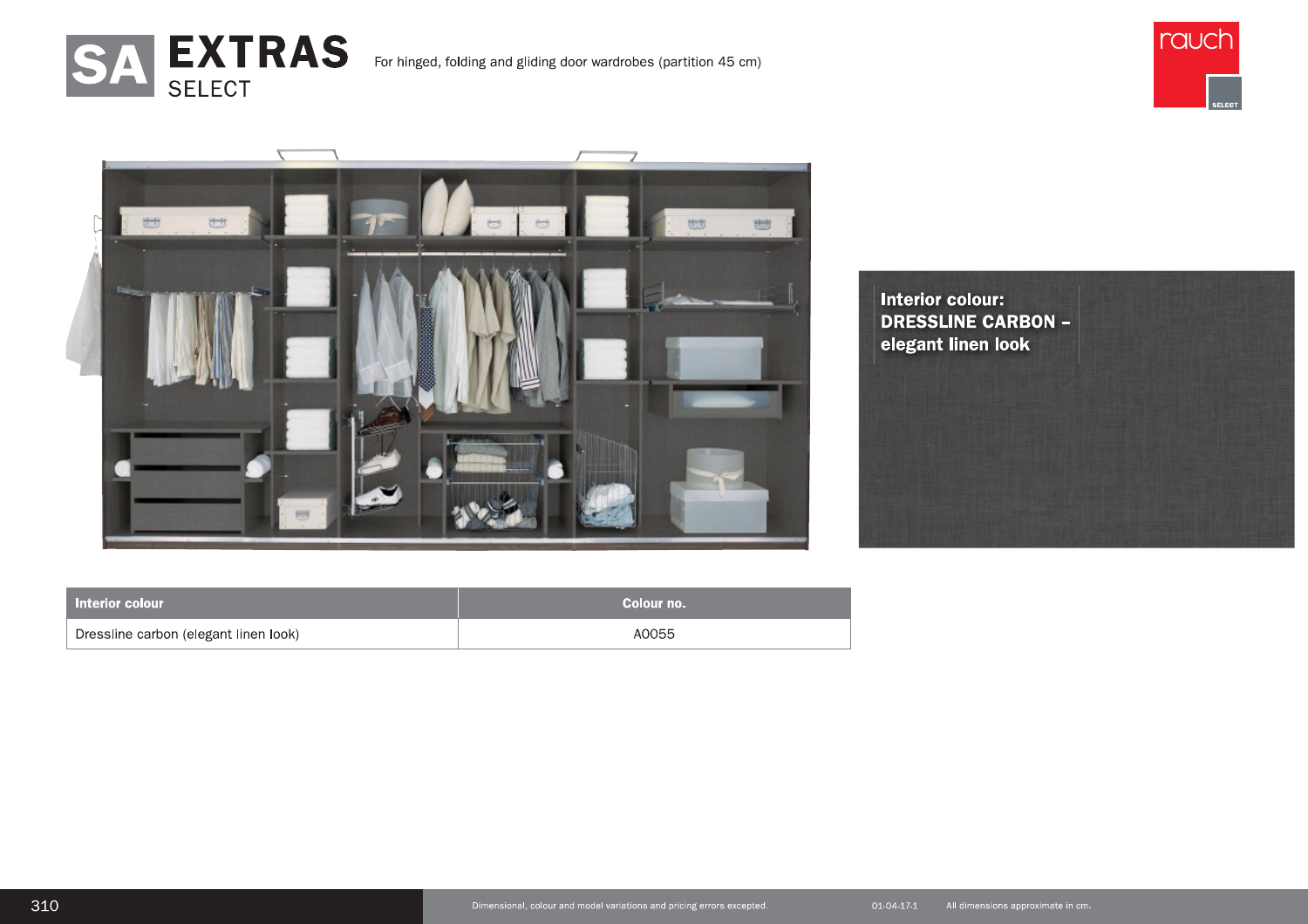





| Interior colour                       | Colour no. |
|---------------------------------------|------------|
| Dressline carbon (elegant linen look) | A0055      |

**Interior colour: DRESSLINE CARBON** elegant linen look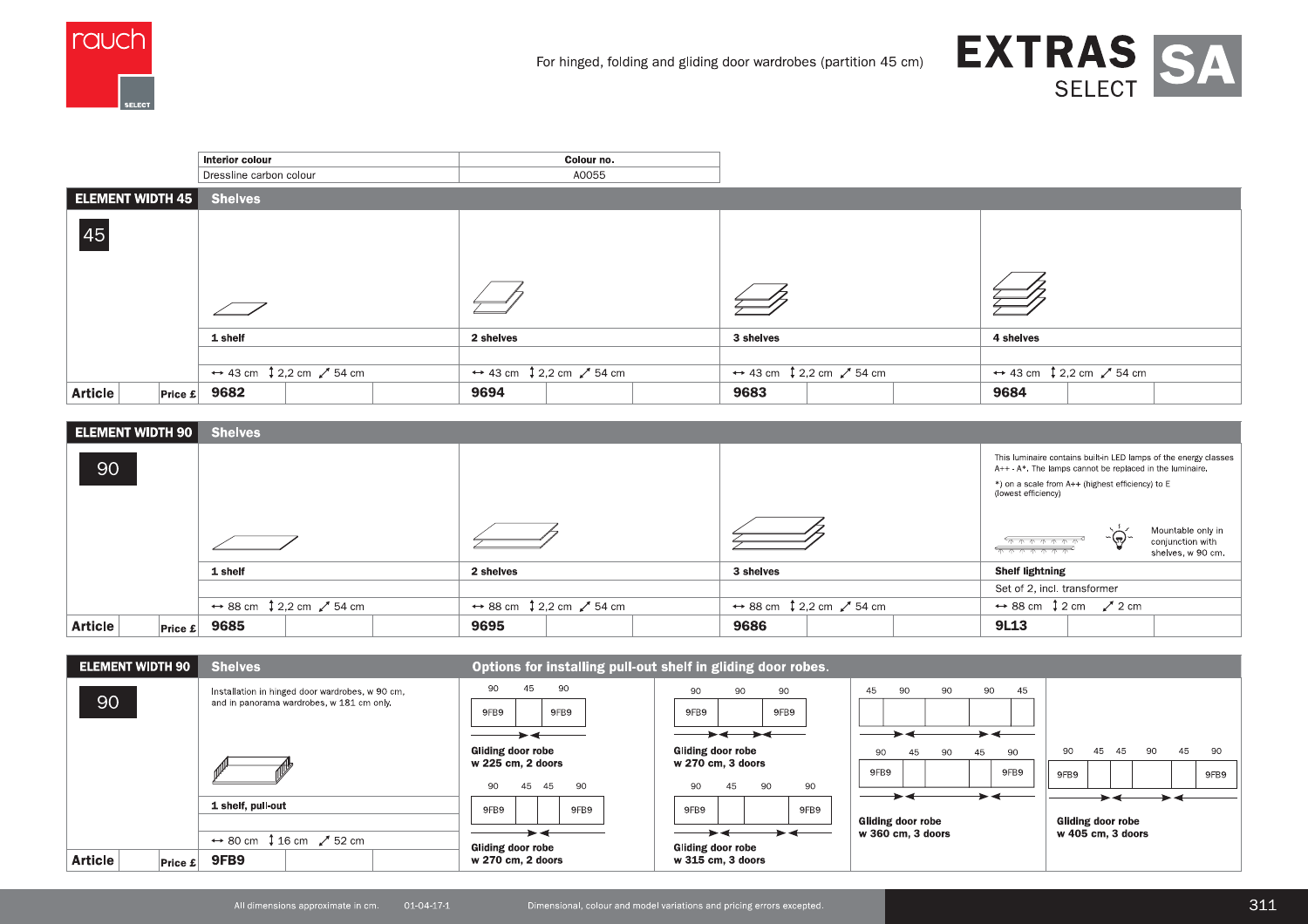



|                           | Interior colour                                              | Colour no.                                                   |                                                              |                                                              |
|---------------------------|--------------------------------------------------------------|--------------------------------------------------------------|--------------------------------------------------------------|--------------------------------------------------------------|
|                           | Dressline carbon colour                                      | A0055                                                        |                                                              |                                                              |
| ELEMENT WIDTH 45          | <b>Shelves</b>                                               |                                                              |                                                              |                                                              |
| 45                        |                                                              |                                                              |                                                              |                                                              |
|                           | 1 shelf                                                      | 2 shelves                                                    | 3 shelves                                                    | 4 shelves                                                    |
|                           |                                                              |                                                              |                                                              |                                                              |
|                           | $\leftrightarrow$ 43 cm $\downarrow$ 2,2 cm $\swarrow$ 54 cm | $\leftrightarrow$ 43 cm $\downarrow$ 2,2 cm $\swarrow$ 54 cm | $\leftrightarrow$ 43 cm $\downarrow$ 2,2 cm $\swarrow$ 54 cm | $\leftrightarrow$ 43 cm $\downarrow$ 2,2 cm $\swarrow$ 54 cm |
| <b>Article</b><br>Price E | 9682                                                         | 9694                                                         | 9683                                                         | 9684                                                         |

| ELEMENT WIDTH 90          | <b>Shelves</b>                                               |                                                              |                                                              |                                                                                                                                                                                                         |
|---------------------------|--------------------------------------------------------------|--------------------------------------------------------------|--------------------------------------------------------------|---------------------------------------------------------------------------------------------------------------------------------------------------------------------------------------------------------|
| 90                        |                                                              |                                                              |                                                              | This luminaire contains built-in LED lamps of the energy classes<br>A++ - A*. The lamps cannot be replaced in the luminaire.<br>*) on a scale from A++ (highest efficiency) to E<br>(lowest efficiency) |
|                           |                                                              |                                                              |                                                              | Mountable only in<br>$-\bigcirc$<br>conjunction with<br><u> ጥጥጥጥጥጥ ጥ</u><br>shelves, w 90 cm.                                                                                                           |
|                           | 1 shelf                                                      | 2 shelves                                                    | 3 shelves                                                    | <b>Shelf lightning</b>                                                                                                                                                                                  |
|                           |                                                              |                                                              |                                                              | Set of 2, incl. transformer                                                                                                                                                                             |
|                           | $\leftrightarrow$ 88 cm $\downarrow$ 2,2 cm $\swarrow$ 54 cm | $\leftrightarrow$ 88 cm $\downarrow$ 2,2 cm $\swarrow$ 54 cm | $\leftrightarrow$ 88 cm $\downarrow$ 2,2 cm $\swarrow$ 54 cm | $\leftrightarrow$ 88 cm $\downarrow$ 2 cm $\swarrow$ 2 cm                                                                                                                                               |
| <b>Article</b><br>Price £ | 9685                                                         | 9695                                                         | 9686                                                         | <b>9L13</b>                                                                                                                                                                                             |

| <b>ELEMENT WIDTH 90</b>   | <b>Shelves</b>                                                                               | Options for installing pull-out shelf in gliding door robes.                                  |                                                                                                                                                            |                                                                                                      |                                                    |
|---------------------------|----------------------------------------------------------------------------------------------|-----------------------------------------------------------------------------------------------|------------------------------------------------------------------------------------------------------------------------------------------------------------|------------------------------------------------------------------------------------------------------|----------------------------------------------------|
| 90                        | Installation in hinged door wardrobes, w 90 cm,<br>and in panorama wardrobes, w 181 cm only. | 45<br>90<br>90<br>9FB9<br>9FB9<br>Gliding door robe<br>w 225 cm, 2 doors<br>90<br>45 45<br>90 | 90<br>90<br>90<br>9FB9<br>9FB9<br>$\rightarrow$ $\rightarrow$ $\rightarrow$ $\leftarrow$<br>Gliding door robe<br>w 270 cm, 3 doors<br>90<br>90<br>45<br>90 | 45<br>90<br>90<br>90<br>45<br>$\overline{\phantom{a}}$<br>90<br>45<br>90<br>90<br>45<br>9FB9<br>9FB9 | 90<br>45<br>- 45<br>90<br>45<br>90<br>9FB9<br>9FB9 |
|                           | 1 shelf, pull-out<br>$\leftrightarrow$ 80 cm $\downarrow$ 16 cm $\swarrow$ 52 cm             |                                                                                               | 9FB9<br>9FB9<br>$\rightarrow$ $\leftarrow$<br><b>Gliding door robe</b>                                                                                     | Gliding door robe<br>w 360 cm. 3 doors                                                               | ► 4<br>Gliding door robe<br>w 405 cm, 3 doors      |
| <b>Article</b><br>Price E | 9FB <sub>9</sub>                                                                             | <b>Gliding door robe</b><br>w 270 cm, 2 doors                                                 | $w$ 315 cm, 3 doors                                                                                                                                        |                                                                                                      |                                                    |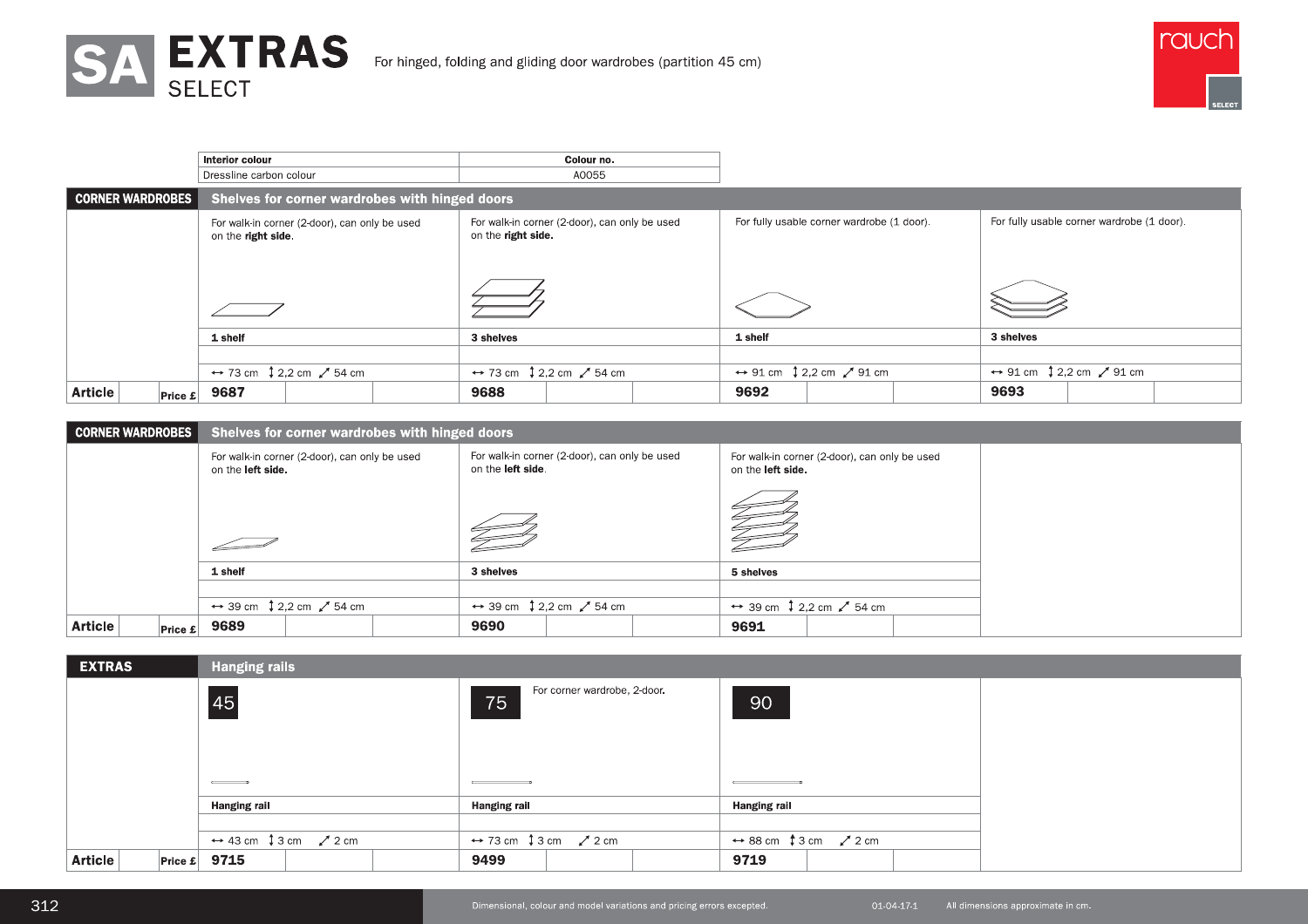



|                                                      | SA EXTRAS                                                                                   |                                                                      |                                                                                                                                                                                                                                  | rauch                                                                |
|------------------------------------------------------|---------------------------------------------------------------------------------------------|----------------------------------------------------------------------|----------------------------------------------------------------------------------------------------------------------------------------------------------------------------------------------------------------------------------|----------------------------------------------------------------------|
|                                                      | <b>SELECT</b>                                                                               | For hinged, folding and gliding door wardrobes (partition 45 cm)     |                                                                                                                                                                                                                                  |                                                                      |
|                                                      |                                                                                             |                                                                      |                                                                                                                                                                                                                                  |                                                                      |
|                                                      | Interior colour<br>Dressline carbon colour                                                  | Colour no.<br>A0055                                                  |                                                                                                                                                                                                                                  |                                                                      |
| <b>CORNER WARDROBES</b>                              | Shelves for corner wardrobes with hinged doors                                              |                                                                      |                                                                                                                                                                                                                                  |                                                                      |
|                                                      | For walk-in corner (2-door), can only be used                                               |                                                                      |                                                                                                                                                                                                                                  |                                                                      |
|                                                      | on the right side.                                                                          | For walk-in corner (2-door), can only be used<br>on the right side.  | For fully usable corner wardrobe (1 door).                                                                                                                                                                                       | For fully usable corner wardrobe (1 door).                           |
|                                                      |                                                                                             |                                                                      |                                                                                                                                                                                                                                  |                                                                      |
|                                                      | $\sqrt{\phantom{a}}$                                                                        |                                                                      |                                                                                                                                                                                                                                  |                                                                      |
|                                                      | 1 shelf                                                                                     | 3 shelves                                                            | 1 shelf                                                                                                                                                                                                                          | 3 shelves                                                            |
|                                                      | $\leftrightarrow$ 73 cm $\downarrow$ 2,2 cm $\swarrow$ 54 cm<br>$ PP$ rice £ 9687           | $\leftrightarrow$ 73 cm $\downarrow$ 2,2 cm $\swarrow$ 54 cm<br>9688 | $\leftrightarrow$ 91 cm $\downarrow$ 2,2 cm $\swarrow$ 91 cm<br>9692                                                                                                                                                             | $\leftrightarrow$ 91 cm $\downarrow$ 2,2 cm $\swarrow$ 91 cm<br>9693 |
|                                                      | Shelves for corner wardrobes with hinged doors                                              |                                                                      |                                                                                                                                                                                                                                  |                                                                      |
|                                                      | For walk-in corner (2-door), can only be used<br>on the left side.                          | For walk-in corner (2-door), can only be used<br>on the left side.   | For walk-in corner (2-door), can only be used<br>on the left side.                                                                                                                                                               |                                                                      |
|                                                      |                                                                                             |                                                                      |                                                                                                                                                                                                                                  |                                                                      |
|                                                      |                                                                                             |                                                                      | t de la familie de la familie de la familie de la familie de la familie de la familie de la familie de la fami<br>La familie de la familie de la familie de la familie de la familie de la familie de la familie de la familie d |                                                                      |
|                                                      | $\overline{\phantom{0}}$                                                                    | FI                                                                   |                                                                                                                                                                                                                                  |                                                                      |
|                                                      | 1 shelf                                                                                     | 3 shelves                                                            | 5 shelves                                                                                                                                                                                                                        |                                                                      |
|                                                      | $\leftrightarrow$ 39 cm $\downarrow$ 2,2 cm $\swarrow$ 54 cm<br>$ _{\text{Price } E} $ 9689 | $\leftrightarrow$ 39 cm $\downarrow$ 2,2 cm $\swarrow$ 54 cm<br>9690 | $\leftrightarrow$ 39 cm $\downarrow$ 2,2 cm $\swarrow$ 54 cm<br>9691                                                                                                                                                             |                                                                      |
|                                                      |                                                                                             |                                                                      |                                                                                                                                                                                                                                  |                                                                      |
| <b>EXTRAS</b>                                        | <b>Hanging rails</b>                                                                        | For corner wardrobe, 2-door.                                         |                                                                                                                                                                                                                                  |                                                                      |
| <b>Article</b><br><b>CORNER WARDROBES</b><br>Article | 45                                                                                          | 75                                                                   | 90                                                                                                                                                                                                                               |                                                                      |

|                |                         | on the right side.   |                                                              |                                                | on the right side. |                                                              |                   |                                                              |           |                                                              |  |
|----------------|-------------------------|----------------------|--------------------------------------------------------------|------------------------------------------------|--------------------|--------------------------------------------------------------|-------------------|--------------------------------------------------------------|-----------|--------------------------------------------------------------|--|
|                |                         |                      |                                                              |                                                |                    |                                                              |                   |                                                              |           |                                                              |  |
|                |                         | 1 shelf              |                                                              |                                                | 3 shelves          |                                                              | 1 shelf           |                                                              | 3 shelves |                                                              |  |
|                |                         |                      |                                                              |                                                |                    |                                                              |                   |                                                              |           |                                                              |  |
|                |                         |                      | $\leftrightarrow$ 73 cm $\downarrow$ 2,2 cm $\swarrow$ 54 cm |                                                |                    | $\leftrightarrow$ 73 cm $\downarrow$ 2,2 cm $\swarrow$ 54 cm |                   | $\leftrightarrow$ 91 cm $\downarrow$ 2,2 cm $\swarrow$ 91 cm |           | $\leftrightarrow$ 91 cm $\downarrow$ 2,2 cm $\swarrow$ 91 cm |  |
| <b>Article</b> | Price E                 | 9687                 |                                                              |                                                | 9688               |                                                              | 9692              |                                                              | 9693      |                                                              |  |
|                |                         |                      |                                                              |                                                |                    |                                                              |                   |                                                              |           |                                                              |  |
|                | <b>CORNER WARDROBES</b> |                      |                                                              | Shelves for corner wardrobes with hinged doors |                    |                                                              |                   |                                                              |           |                                                              |  |
|                |                         | on the left side.    | For walk-in corner (2-door), can only be used                |                                                | on the left side.  | For walk-in corner (2-door), can only be used                | on the left side. | For walk-in corner (2-door), can only be used                |           |                                                              |  |
|                |                         |                      |                                                              |                                                |                    |                                                              |                   |                                                              |           |                                                              |  |
|                |                         | 1 shelf              |                                                              |                                                | 3 shelves          |                                                              | 5 shelves         |                                                              |           |                                                              |  |
|                |                         |                      |                                                              |                                                |                    |                                                              |                   |                                                              |           |                                                              |  |
|                |                         |                      | $\leftrightarrow$ 39 cm $\downarrow$ 2,2 cm $\swarrow$ 54 cm |                                                |                    | $\leftrightarrow$ 39 cm $\downarrow$ 2,2 cm $\swarrow$ 54 cm |                   | $\leftrightarrow$ 39 cm $\downarrow$ 2,2 cm $\swarrow$ 54 cm |           |                                                              |  |
| <b>Article</b> | Price E                 | 9689                 |                                                              |                                                | 9690               |                                                              | 9691              |                                                              |           |                                                              |  |
|                |                         |                      |                                                              |                                                |                    |                                                              |                   |                                                              |           |                                                              |  |
| <b>EXTRAS</b>  |                         | <b>Hanging rails</b> |                                                              |                                                |                    |                                                              |                   |                                                              |           |                                                              |  |
|                |                         | 45                   |                                                              |                                                | 75                 | For corner wardrobe, 2-door.                                 | 90                |                                                              |           |                                                              |  |
|                |                         |                      |                                                              |                                                |                    |                                                              |                   |                                                              |           |                                                              |  |

|                         |                                    | 1 shelf                                                            |                                                | 3 shelves                      |                                                              | 1 shelf               |                                                              | 3 shelves |                                                              |
|-------------------------|------------------------------------|--------------------------------------------------------------------|------------------------------------------------|--------------------------------|--------------------------------------------------------------|-----------------------|--------------------------------------------------------------|-----------|--------------------------------------------------------------|
|                         |                                    | $\leftrightarrow$ 73 cm $\downarrow$ 2,2 cm $\swarrow$ 54 cm       |                                                |                                | $\leftrightarrow$ 73 cm $\downarrow$ 2,2 cm $\swarrow$ 54 cm |                       | $\leftrightarrow$ 91 cm $\downarrow$ 2,2 cm $\swarrow$ 91 cm |           | $\leftrightarrow$ 91 cm $\downarrow$ 2,2 cm $\swarrow$ 91 cm |
| <b>Article</b>          | $ {\mathsf{Price}\ \pounds} $ 9687 |                                                                    |                                                | 9688                           |                                                              | 9692                  |                                                              | 9693      |                                                              |
|                         |                                    |                                                                    |                                                |                                |                                                              |                       |                                                              |           |                                                              |
| <b>CORNER WARDROBES</b> |                                    |                                                                    | Shelves for corner wardrobes with hinged doors |                                |                                                              |                       |                                                              |           |                                                              |
|                         |                                    | For walk-in corner (2-door), can only be used<br>on the left side. |                                                | on the left side.              | For walk-in corner (2-door), can only be used                | on the left side.     | For walk-in corner (2-door), can only be used                |           |                                                              |
|                         |                                    |                                                                    |                                                |                                |                                                              |                       |                                                              |           |                                                              |
|                         |                                    |                                                                    |                                                |                                |                                                              |                       |                                                              |           |                                                              |
|                         |                                    | 1 shelf                                                            |                                                | 3 shelves                      |                                                              | 5 shelves             |                                                              |           |                                                              |
|                         |                                    | $\leftrightarrow$ 39 cm $\downarrow$ 2,2 cm $\swarrow$ 54 cm       |                                                |                                | $\leftrightarrow$ 39 cm $\downarrow$ 2,2 cm $\swarrow$ 54 cm |                       | $\leftrightarrow$ 39 cm $\downarrow$ 2,2 cm $\swarrow$ 54 cm |           |                                                              |
| <b>Article</b>          | $ \mathsf{Price}\ \pounds $ 9689   |                                                                    |                                                | 9690                           |                                                              | 9691                  |                                                              |           |                                                              |
| <b>EXTRAS</b>           |                                    | <b>Hanging rails</b>                                               |                                                |                                | For corner wardrobe, 2-door.                                 |                       |                                                              |           |                                                              |
|                         |                                    | 45<br>$\qquad \qquad \overline{\qquad \qquad }$                    |                                                | 75<br>$\overline{\phantom{a}}$ |                                                              | 90<br>$\qquad \qquad$ |                                                              |           |                                                              |
|                         |                                    | <b>Hanging rail</b>                                                |                                                | <b>Hanging rail</b>            |                                                              | <b>Hanging rail</b>   |                                                              |           |                                                              |
| <b>Article</b>          | Price £ 9715                       | $\leftrightarrow$ 43 cm $\downarrow$ 3 cm $\swarrow$ 2 cm          |                                                | 9499                           | $\leftrightarrow$ 73 cm $\downarrow$ 3 cm $\swarrow$ 2 cm    | 9719                  | $\leftrightarrow$ 88 cm $\uparrow$ 3 cm $\swarrow$ 2 cm      |           |                                                              |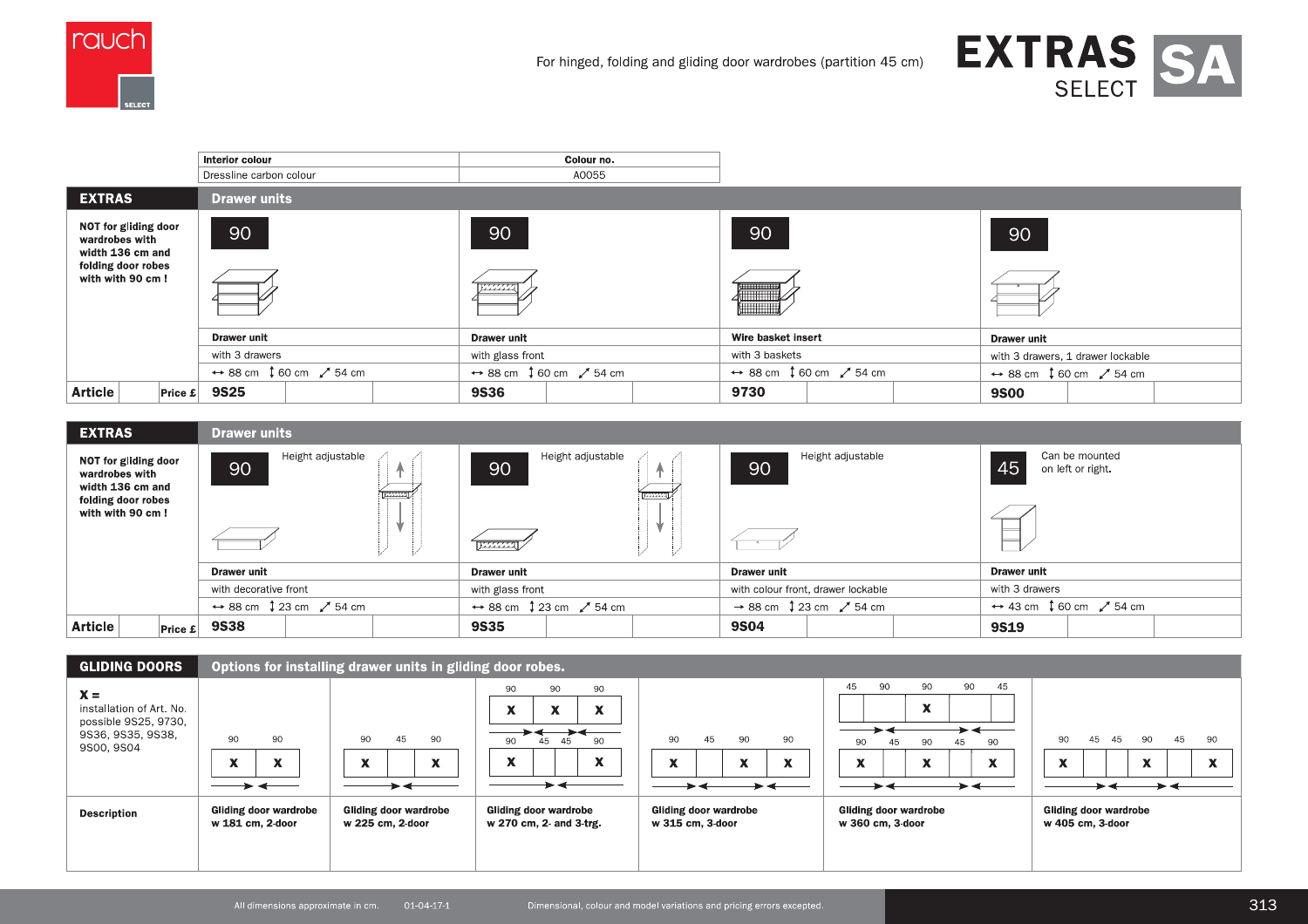



|                                                                                                      | Interior colour                                             | Colour no.                                                  |                                                             |                                                             |  |
|------------------------------------------------------------------------------------------------------|-------------------------------------------------------------|-------------------------------------------------------------|-------------------------------------------------------------|-------------------------------------------------------------|--|
|                                                                                                      | Dressline carbon colour                                     | A0055                                                       |                                                             |                                                             |  |
| <b>EXTRAS</b>                                                                                        | <b>Drawer units</b>                                         |                                                             |                                                             |                                                             |  |
| NOT for gliding door<br>wardrobes with<br>width 136 cm and<br>folding door robes<br>with with 90 cm! | 90                                                          | 90<br><i>122222</i>                                         | 90                                                          | 90                                                          |  |
|                                                                                                      | <b>Drawer unit</b>                                          | <b>Drawer unit</b>                                          | Wire basket insert                                          | <b>Drawer unit</b>                                          |  |
|                                                                                                      | with 3 drawers                                              | with glass front                                            | with 3 baskets                                              | with 3 drawers, 1 drawer lockable                           |  |
|                                                                                                      | $\leftrightarrow$ 88 cm $\downarrow$ 60 cm $\swarrow$ 54 cm | $\leftrightarrow$ 88 cm $\downarrow$ 60 cm $\swarrow$ 54 cm | $\leftrightarrow$ 88 cm $\downarrow$ 60 cm $\swarrow$ 54 cm | $\leftrightarrow$ 88 cm $\downarrow$ 60 cm $\swarrow$ 54 cm |  |
| <b>Article</b><br>Price $\boldsymbol{\pounds}$                                                       | <b>9S25</b>                                                 | <b>9S36</b>                                                 | 9730                                                        | <b>9S00</b>                                                 |  |

| <b>EXTRAS</b>                                                                                        | <b>Drawer units</b>                                         |                                                             |                                                         |                                                             |  |
|------------------------------------------------------------------------------------------------------|-------------------------------------------------------------|-------------------------------------------------------------|---------------------------------------------------------|-------------------------------------------------------------|--|
| NOT for gliding door<br>wardrobes with<br>width 136 cm and<br>folding door robes<br>with with 90 cm! | Height adjustable<br>90<br><b>INSSESSI</b>                  | Height adjustable<br>90<br><b>E222223</b>                   | Height adjustable<br>90                                 | Can be mounted<br>45<br>on left or right.                   |  |
|                                                                                                      | Drawer unit                                                 | <b>Drawer unit</b>                                          | <b>Drawer unit</b>                                      | Drawer unit                                                 |  |
|                                                                                                      | with decorative front                                       | with glass front                                            | with colour front, drawer lockable                      | with 3 drawers                                              |  |
|                                                                                                      | $\leftrightarrow$ 88 cm $\downarrow$ 23 cm $\swarrow$ 54 cm | $\leftrightarrow$ 88 cm $\downarrow$ 23 cm $\swarrow$ 54 cm | $\rightarrow$ 88 cm $\downarrow$ 23 cm $\swarrow$ 54 cm | $\leftrightarrow$ 43 cm $\downarrow$ 60 cm $\swarrow$ 54 cm |  |
| <b>Article</b><br>Price E                                                                            | <b>9S38</b>                                                 | <b>9S35</b>                                                 | <b>9S04</b>                                             | <b>9S19</b>                                                 |  |

| <b>GLIDING DOORS</b>                                                                         |                                                                                                                                          | Options for installing drawer units in gliding door robes.                                   |                                                                                                                                                                                                                                     |                                                                                                                                        |                                                                                                                                                                                                               |                                                                                                                                                                         |
|----------------------------------------------------------------------------------------------|------------------------------------------------------------------------------------------------------------------------------------------|----------------------------------------------------------------------------------------------|-------------------------------------------------------------------------------------------------------------------------------------------------------------------------------------------------------------------------------------|----------------------------------------------------------------------------------------------------------------------------------------|---------------------------------------------------------------------------------------------------------------------------------------------------------------------------------------------------------------|-------------------------------------------------------------------------------------------------------------------------------------------------------------------------|
| $X =$<br>installation of Art. No.<br>possible 9S25, 9730,<br>9S36, 9S35, 9S38,<br>9S00, 9S04 | 90<br>90<br>$\mathbf{v}$<br>$\mathbf{w}$<br>$\boldsymbol{\mathcal{N}}$<br>$\overline{\phantom{a}}$<br>$\rightarrow$ $\leftarrow$<br>____ | 45<br>90<br>90<br>$\mathbf{v}$<br>$\boldsymbol{\mathsf{x}}$<br>$\boldsymbol{\lambda}$<br>► ← | 90<br>90<br>90<br>$\mathbf{w}$<br>X<br>$\mathbf{w}$<br>$\boldsymbol{\mathcal{N}}$<br>$\boldsymbol{\mathcal{N}}$<br>$\rightarrow$<br>45<br>90<br>90<br>$\boldsymbol{\mathsf{x}}$<br>$\mathbf{w}$<br>$\boldsymbol{\mathcal{N}}$<br>►⋖ | 45<br>90<br>90<br>90<br>$\boldsymbol{\mathsf{x}}$<br>$\mathbf{v}$<br>X<br>$\boldsymbol{\mathcal{N}}$<br>$\blacktriangleright$ 4<br>→ ← | 45<br>90<br>90<br>45<br>90<br>$\mathbf{v}$<br>$\mathbf x$<br>$\rightarrow$ $\leftarrow$<br>90<br>45<br>45<br>90<br>90<br>$\mathbf{v}$<br>$\mathbf{w}$<br>$\mathbf{A}$<br>$\mathbf{\mathcal{L}}$<br>► 4<br>► 4 | 45<br>-45<br>90<br>90<br>45<br>90<br>$\mathbf{w}$<br>$\mathbf{w}$<br>$\boldsymbol{\mathsf{x}}$<br>$\boldsymbol{\mathsf{A}}$<br>$\sim$<br>$\blacktriangleright$ 4<br>→ → |
| <b>Description</b>                                                                           | <b>Gliding door wardrobe</b><br>w 181 cm, 2-door                                                                                         | <b>Gliding door wardrobe</b><br>w 225 cm, 2-door                                             | <b>Gliding door wardrobe</b><br>w 270 cm, 2- and 3-trg.                                                                                                                                                                             | <b>Gliding door wardrobe</b><br>w 315 cm, 3-door                                                                                       | <b>Gliding door wardrobe</b><br>w 360 cm, 3-door                                                                                                                                                              | <b>Gliding door wardrobe</b><br>w 405 cm, 3-door                                                                                                                        |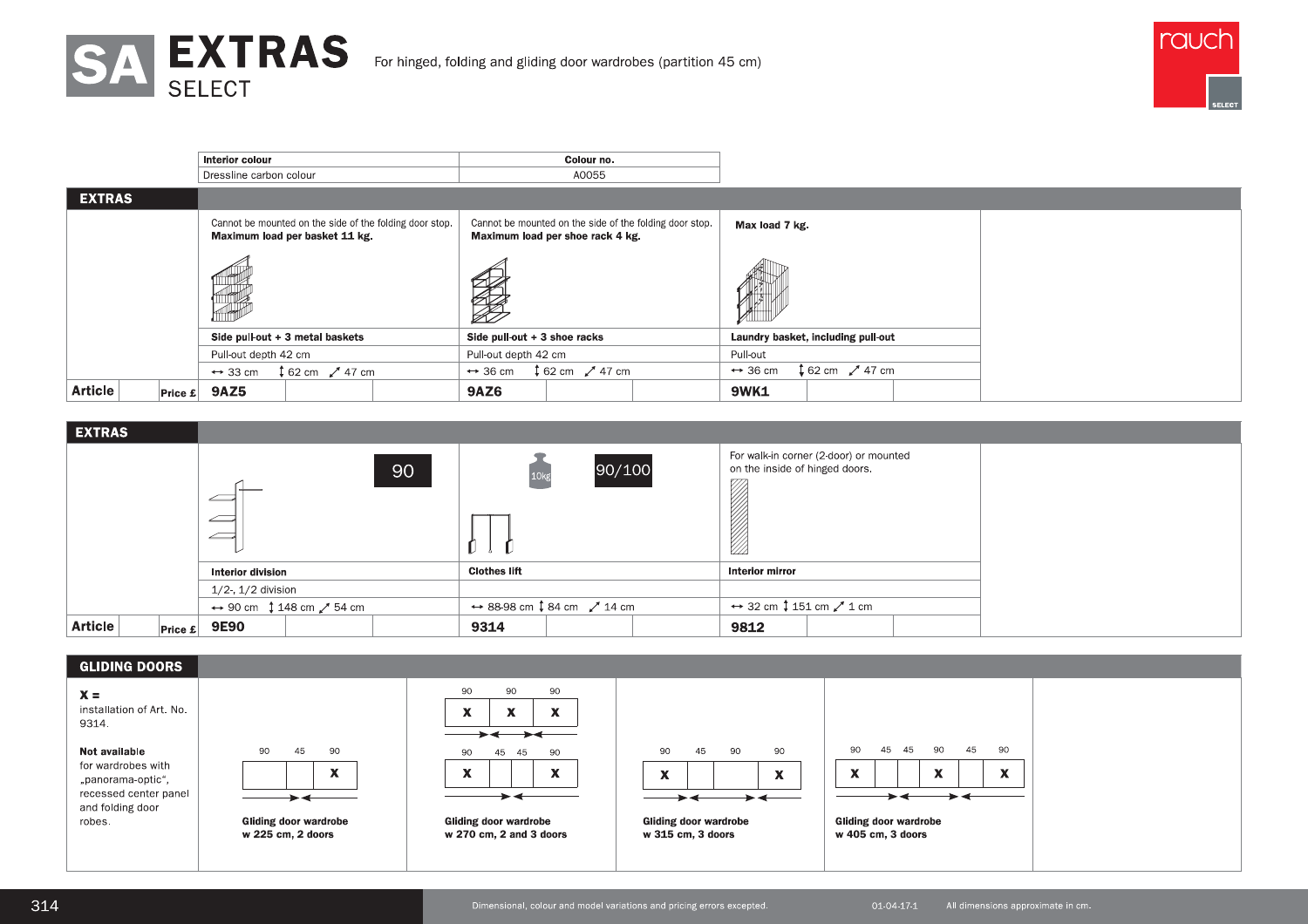



|                            | Interior colour                                                                           | Colour no.                                                                                  |                                                     |  |
|----------------------------|-------------------------------------------------------------------------------------------|---------------------------------------------------------------------------------------------|-----------------------------------------------------|--|
|                            | Dressline carbon colour                                                                   | A0055                                                                                       |                                                     |  |
| <b>EXTRAS</b>              |                                                                                           |                                                                                             |                                                     |  |
|                            | Cannot be mounted on the side of the folding door stop.<br>Maximum load per basket 11 kg. | Cannot be mounted on the side of the folding door stop.<br>Maximum load per shoe rack 4 kg. | Max load 7 kg.                                      |  |
|                            |                                                                                           | <b>Compartire Comparties</b>                                                                | <b>ANTINEE</b>                                      |  |
|                            | Side pull-out $+3$ metal baskets                                                          | Side pull-out $+3$ shoe racks                                                               | Laundry basket, including pull-out                  |  |
|                            | Pull-out depth 42 cm                                                                      | Pull-out depth 42 cm                                                                        | Pull-out                                            |  |
|                            | $162 \text{ cm}$ $247 \text{ cm}$<br>$\leftrightarrow$ 33 cm                              | $162 \text{ cm}$ / 47 cm<br>$\leftrightarrow$ 36 cm                                         | $162 \text{ cm}$ / 47 cm<br>$\leftrightarrow$ 36 cm |  |
| <b>Article</b><br> Price E | <b>9AZ5</b>                                                                               | <b>9AZ6</b>                                                                                 | <b>9WK1</b>                                         |  |

| <b>EXTRAS</b>              |                                                              |                                                                |                                                                          |  |
|----------------------------|--------------------------------------------------------------|----------------------------------------------------------------|--------------------------------------------------------------------------|--|
|                            | 90<br><u>_</u><br>←                                          | 90/100                                                         | For walk-in corner (2-door) or mounted<br>on the inside of hinged doors. |  |
|                            | <b>Interior division</b>                                     | <b>Clothes lift</b>                                            | Interior mirror                                                          |  |
|                            | $1/2$ -, $1/2$ division                                      |                                                                |                                                                          |  |
|                            | $\leftrightarrow$ 90 cm $\downarrow$ 148 cm $\swarrow$ 54 cm | $\leftrightarrow$ 88-98 cm $\downarrow$ 84 cm $\swarrow$ 14 cm | $\leftrightarrow$ 32 cm $\downarrow$ 151 cm $\swarrow$ 1 cm              |  |
| <b>Article</b><br> Price E | <b>9E90</b>                                                  | 9314                                                           | 9812                                                                     |  |



Dimensional, colour and model variations and pricing errors excepted.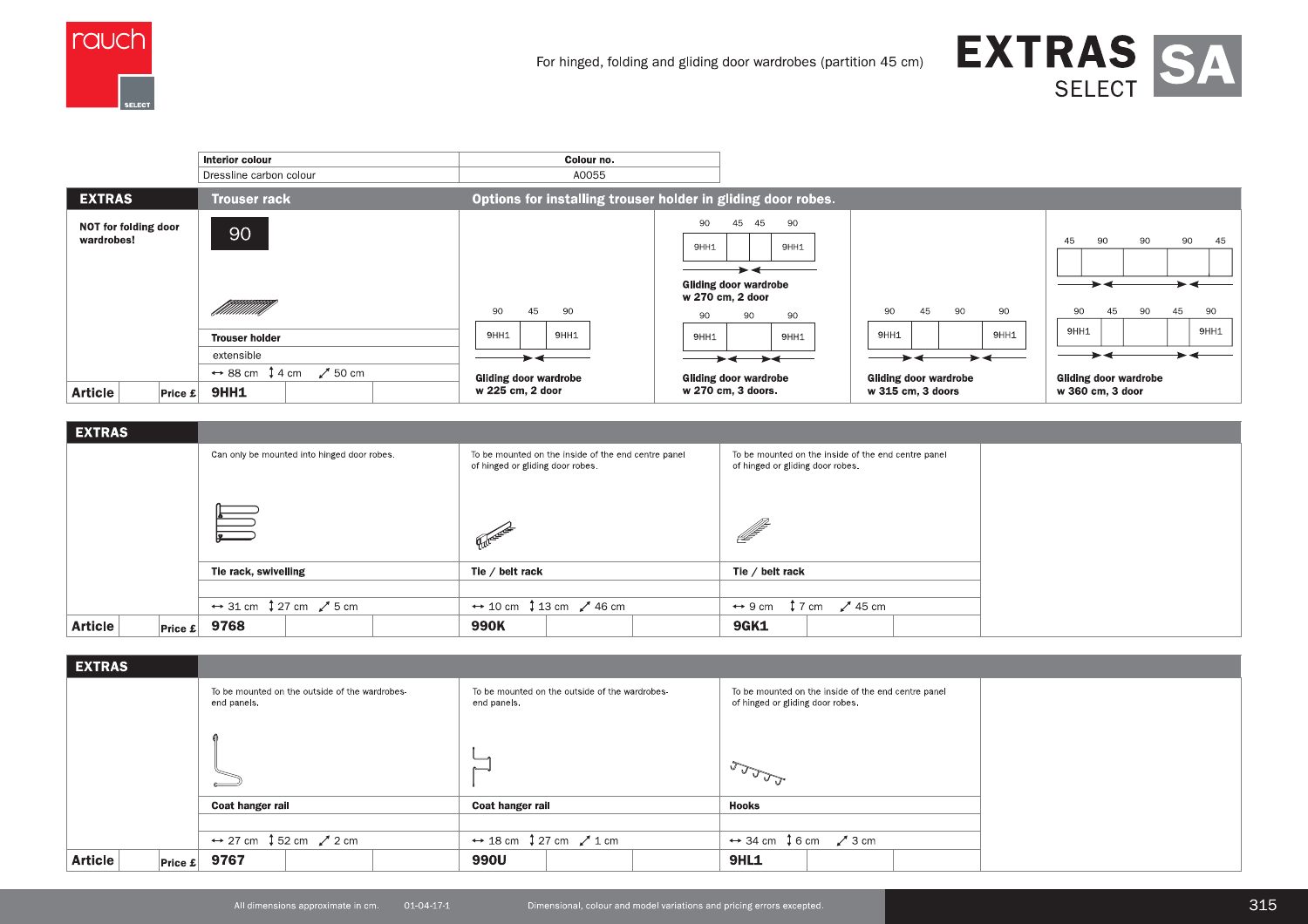



|                                    | Interior colour<br>Dressline carbon colour                            | Colour no.<br>A0055                              |                                                                                                                                 |                                                                    |                                                                                |  |  |
|------------------------------------|-----------------------------------------------------------------------|--------------------------------------------------|---------------------------------------------------------------------------------------------------------------------------------|--------------------------------------------------------------------|--------------------------------------------------------------------------------|--|--|
| <b>EXTRAS</b>                      | <b>Trouser rack</b>                                                   |                                                  | Options for installing trouser holder in gliding door robes.                                                                    |                                                                    |                                                                                |  |  |
| NOT for folding door<br>wardrobes! | 90<br>filillillillilli<br><b>Trouser holder</b><br>extensible         | 90<br>45<br>90<br>9HH1<br>9HH1                   | 90<br>45<br>90<br>45<br>9HH1<br>9HH1<br><b>Gliding door wardrobe</b><br>w 270 cm, 2 door<br>90<br>90<br>90<br>9HH1<br>9HH1<br>→ | 90<br>45<br>90<br>90<br>9HH1<br>9HH1<br>$\blacktriangleright\prec$ | 90<br>90<br>45<br>90<br>45<br>90<br>45<br>45<br>90<br>90<br>9HH1<br>9HH1<br>►≁ |  |  |
| <b>Article</b><br>Price E          | $\leftrightarrow$ 88 cm $\downarrow$ 4 cm<br>$\swarrow$ 50 cm<br>9HH1 | <b>Gliding door wardrobe</b><br>w 225 cm, 2 door | <b>Gliding door wardrobe</b><br>w 270 cm, 3 doors.                                                                              | <b>Gliding door wardrobe</b><br>w 315 cm, 3 doors                  | <b>Gliding door wardrobe</b><br>w 360 cm, 3 door                               |  |  |

| <b>EXTRAS</b>             |                                                                                                         |                                                                                         |                                                                                         |
|---------------------------|---------------------------------------------------------------------------------------------------------|-----------------------------------------------------------------------------------------|-----------------------------------------------------------------------------------------|
|                           | Can only be mounted into hinged door robes.                                                             | To be mounted on the inside of the end centre panel<br>of hinged or gliding door robes. | To be mounted on the inside of the end centre panel<br>of hinged or gliding door robes. |
|                           | $\begin{array}{ c c } \hline \multicolumn{1}{ }{\textbf{}} & \multicolumn{1}{ }{\textbf{}} \end{array}$ | Partner                                                                                 | <u>ff</u>                                                                               |
|                           | Tie rack, swivelling                                                                                    | Tie / belt rack                                                                         | Tie / belt rack                                                                         |
|                           |                                                                                                         |                                                                                         |                                                                                         |
|                           | $\leftrightarrow$ 31 cm $\downarrow$ 27 cm $\swarrow$ 5 cm                                              | $\leftrightarrow$ 10 cm $\downarrow$ 13 cm $\swarrow$ 46 cm                             | $\leftrightarrow$ 9 cm $\downarrow$ 7 cm $\swarrow$ 45 cm                               |
| <b>Article</b><br>Price E | 9768                                                                                                    | 990K                                                                                    | <b>9GK1</b>                                                                             |

| <b>EXTRAS</b>              |                                                               |                                                               |                                                                                         |  |
|----------------------------|---------------------------------------------------------------|---------------------------------------------------------------|-----------------------------------------------------------------------------------------|--|
|                            | To be mounted on the outside of the wardrobes-<br>end panels. | To be mounted on the outside of the wardrobes-<br>end panels. | To be mounted on the inside of the end centre panel<br>of hinged or gliding door robes. |  |
|                            |                                                               | $\sim$                                                        | <b>Reading</b>                                                                          |  |
|                            | Coat hanger rail                                              | Coat hanger rail                                              | Hooks                                                                                   |  |
|                            |                                                               |                                                               |                                                                                         |  |
|                            | $\leftrightarrow$ 27 cm $\downarrow$ 52 cm $\swarrow$ 2 cm    | $\leftrightarrow$ 18 cm $\downarrow$ 27 cm $\swarrow$ 1 cm    | $\leftrightarrow$ 34 cm $\downarrow$ 6 cm $\swarrow$ 3 cm                               |  |
| <b>Article</b><br> Price E | 9767                                                          | 990U                                                          | <b>9HL1</b>                                                                             |  |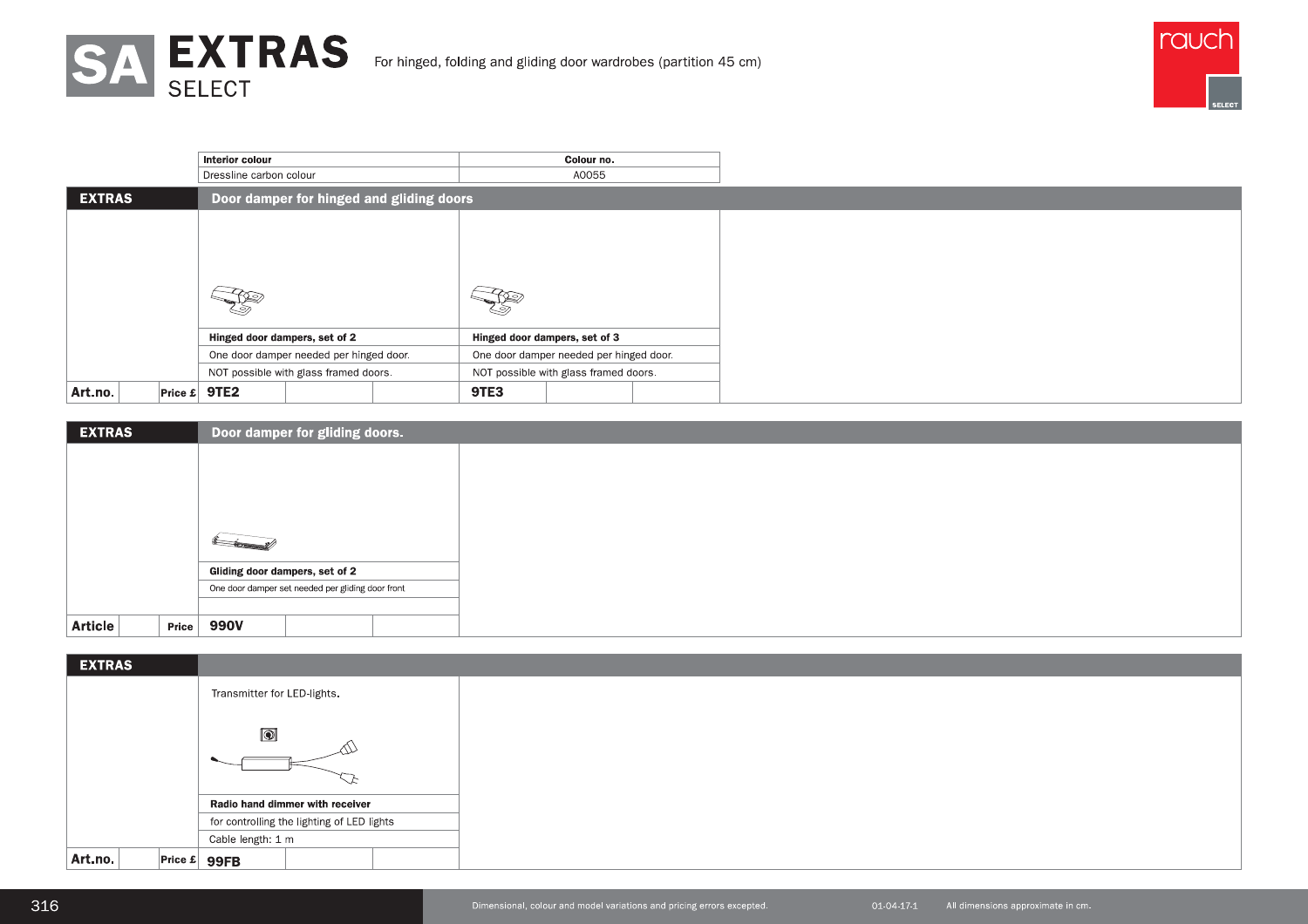



|               |  | Interior colour                    |                                         |                                          |      | Colour no.                              |  |
|---------------|--|------------------------------------|-----------------------------------------|------------------------------------------|------|-----------------------------------------|--|
|               |  | Dressline carbon colour            |                                         |                                          |      | A0055                                   |  |
| <b>EXTRAS</b> |  |                                    |                                         | Door damper for hinged and gliding doors |      |                                         |  |
|               |  |                                    |                                         |                                          |      |                                         |  |
|               |  |                                    |                                         |                                          |      |                                         |  |
|               |  |                                    |                                         |                                          |      |                                         |  |
|               |  |                                    |                                         |                                          |      |                                         |  |
|               |  | くの                                 |                                         |                                          | 9∕   |                                         |  |
|               |  |                                    |                                         |                                          |      |                                         |  |
|               |  | Hinged door dampers, set of 2      |                                         |                                          |      | Hinged door dampers, set of 3           |  |
|               |  |                                    | One door damper needed per hinged door. |                                          |      | One door damper needed per hinged door. |  |
|               |  |                                    | NOT possible with glass framed doors.   |                                          |      | NOT possible with glass framed doors.   |  |
| Art.no.       |  | Price $\boldsymbol{\epsilon}$ 9TE2 |                                         |                                          | 9TE3 |                                         |  |

| <b>EXTRAS</b>    | Door damper for gliding doors.                    |  |  |  |  |  |  |
|------------------|---------------------------------------------------|--|--|--|--|--|--|
|                  |                                                   |  |  |  |  |  |  |
|                  |                                                   |  |  |  |  |  |  |
|                  |                                                   |  |  |  |  |  |  |
|                  |                                                   |  |  |  |  |  |  |
|                  | $\overline{\phantom{a}}$                          |  |  |  |  |  |  |
|                  | Gliding door dampers, set of 2                    |  |  |  |  |  |  |
|                  | One door damper set needed per gliding door front |  |  |  |  |  |  |
|                  |                                                   |  |  |  |  |  |  |
| Article<br>Price | 990V                                              |  |  |  |  |  |  |

| <b>EXTRAS</b> |                                        |                                            |                                 |  |  |
|---------------|----------------------------------------|--------------------------------------------|---------------------------------|--|--|
|               |                                        | Transmitter for LED-lights.                |                                 |  |  |
|               |                                        |                                            |                                 |  |  |
|               | $\boxed{\textcircled{\color{white}0}}$ |                                            |                                 |  |  |
|               |                                        |                                            |                                 |  |  |
|               |                                        |                                            |                                 |  |  |
|               |                                        |                                            | Radio hand dimmer with receiver |  |  |
|               |                                        | for controlling the lighting of LED lights |                                 |  |  |
|               |                                        | Cable length: 1 m                          |                                 |  |  |
| Art.no.       |                                        | Price $\mathbf{E}$ 99FB                    |                                 |  |  |